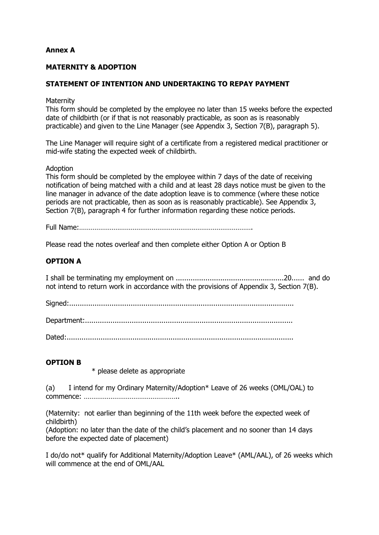# **Annex A**

# **MATERNITY & ADOPTION**

## **STATEMENT OF INTENTION AND UNDERTAKING TO REPAY PAYMENT**

**Maternity** 

This form should be completed by the employee no later than 15 weeks before the expected date of childbirth (or if that is not reasonably practicable, as soon as is reasonably practicable) and given to the Line Manager (see Appendix 3, Section 7(B), paragraph 5).

The Line Manager will require sight of a certificate from a registered medical practitioner or mid-wife stating the expected week of childbirth.

#### Adoption

This form should be completed by the employee within 7 days of the date of receiving notification of being matched with a child and at least 28 days notice must be given to the line manager in advance of the date adoption leave is to commence (where these notice periods are not practicable, then as soon as is reasonably practicable). See Appendix 3, Section 7(B), paragraph 4 for further information regarding these notice periods.

Full Name:……………………………………………………………………………….

Please read the notes overleaf and then complete either Option A or Option B

### **OPTION A**

I shall be terminating my employment on ...................................................20...... and do not intend to return work in accordance with the provisions of Appendix 3, Section 7(B).

Signed:..........................................................................................................

Department:..................................................................................................

Dated:...........................................................................................................

#### **OPTION B**

\* please delete as appropriate

(a) I intend for my Ordinary Maternity/Adoption\* Leave of 26 weeks (OML/OAL) to commence: …………………………………………..

(Maternity: not earlier than beginning of the 11th week before the expected week of childbirth)

(Adoption: no later than the date of the child's placement and no sooner than 14 days before the expected date of placement)

I do/do not\* qualify for Additional Maternity/Adoption Leave\* (AML/AAL), of 26 weeks which will commence at the end of OML/AAL